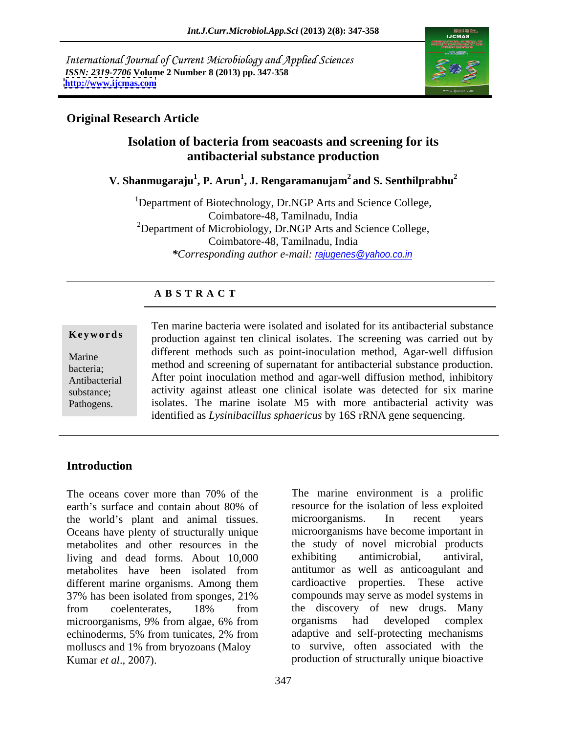International Journal of Current Microbiology and Applied Sciences *ISSN: 2319-7706* **Volume 2 Number 8 (2013) pp. 347-358 <http://www.ijcmas.com>**



# **Original Research Article**

# **Isolation of bacteria from seacoasts and screening for its antibacterial substance production**

**V. Shanmugaraju<sup>1</sup> , P. Arun<sup>1</sup> , J. Rengaramanujam2 and S. Senthilprabhu<sup>2</sup>**

<sup>1</sup>Department of Biotechnology, Dr.NGP Arts and Science College, Coimbatore-48, Tamilnadu, India <sup>2</sup>Department of Microbiology, Dr.NGP Arts and Science College, Coimbatore-48, Tamilnadu, India *\*Corresponding author e-mail:* rajugenes@yahoo.co.in

### **A B S T R A C T**

**Keywords** production against ten clinical isolates. The screening was carried out by Marine different methods such as point-inoculation method, Agar-well diffusion bacteria; method and screening of supernatant for antibacterial substance production. Antibacterial After point inoculation method and agar-well diffusion method, inhibitory substance; activity against atleast one clinical isolate was detected for six marine Pathogens. isolates. The marine isolate M5 with more antibacterial activity was Ten marine bacteria were isolated and isolated for its antibacterial substance identified as *Lysinibacillus sphaericus* by 16S rRNA gene sequencing.

# **Introduction**

The oceans cover more than 70% of the The marine environment is a prolific earth's surface and contain about 80% of resource for the isolation of less exploited the world's plant and animal tissues. microorganisms. In recent years Oceans have plenty of structurally unique metabolites and other resources in the the study of novel microbial products<br>living and dead forms. About 10,000 exhibiting antimicrobial, antiviral, living and dead forms. About 10,000 metabolites have been isolated from different marine organisms. Among them 37% has been isolated from sponges, 21% 37% has been isolated from sponges, 21% from coelenterates, 18% from the discovery of new drugs. Many microorganisms, 9% from algae, 6% from echinoderms, 5% from tunicates, 2% from molluscs and 1% from bryozoans (Maloy Kumar *et al.*, 2007). The production of structurally unique bioactive

The marine environment is a prolific resource for the isolation of less exploited microorganisms. In recent years microorganisms have become important in the study of novel microbial products exhibiting antimicrobial, antiviral, antitumor as well as anticoagulant and cardioactive properties. These active compounds may serve as model systems in the discovery of new drugs. Many organisms had developed complex adaptive and self-protecting mechanisms to survive, often associated with the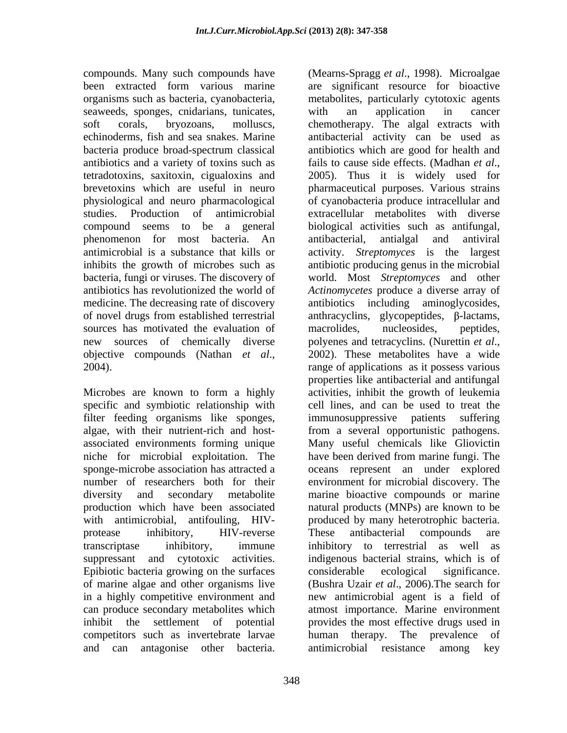compounds. Many such compounds have (Mearns-Spragg *et al*., 1998). Microalgae seaweeds, sponges, cnidarians, tunicates, with an application in cancer antibiotics and a variety of toxins such as fails to cause side effects. (Madhan et al., tetradotoxins, saxitoxin, cigualoxins and phenomenon for most bacteria. An sources has motivated the evaluation of macrolides, nucleosides, peptides, new sources of chemically diverse polyenes and tetracyclins. (Nurettin *et al.*,

specific and symbiotic relationship with niche for microbial exploitation. The have been derived from marine fungi. The Epibiotic bacteria growing on the surfaces of marine algae and other organisms live competitors such as invertebrate larvae human therapy. The prevalence of and can antagonise other bacteria.

been extracted form various marine are significant resource for bioactive organisms such as bacteria, cyanobacteria, metabolites, particularly cytotoxic agents soft corals, bryozoans, molluscs, chemotherapy. The algal extracts with echinoderms, fish and sea snakes. Marine antibacterial activity can be used as bacteria produce broad-spectrum classical antibiotics which are good for health and brevetoxins which are useful in neuro pharmaceutical purposes. Various strains physiological and neuro pharmacological of cyanobacteria produce intracellularand studies. Production of antimicrobial extracellular metabolites with diverse compound seems to be a general biological activities such as antifungal, antimicrobial is a substance that kills or activity. *Streptomyces* is the largest inhibits the growth of microbes such as antibiotic producing genus in the microbial bacteria, fungi or viruses. The discovery of world. Most *Streptomyces* and other antibiotics has revolutionized the world of *Actinomycetes* produce a diverse array of medicine. The decreasing rate of discovery antibiotics including aminoglycosides, of novel drugs from established terrestrial anthracyclins, glycopeptides, β-lactams, objective compounds (Nathan *et al.*, 2002). These metabolites have a wide<br>2004). These range of applications as it possess various Microbes are known to form a highly activities, inhibit the growth of leukemia filter feeding organisms like sponges, immunosuppressive patients suffering algae, with their nutrient-rich and host- from a several opportunistic pathogens. associated environments forming unique Many useful chemicals like Gliovictin sponge-microbe association has attracted a oceans represent an under explored number of researchers both for their environment for microbial discovery. The diversity and secondary metabolite marine bioactive compounds or marine production which have been associated natural products (MNPs) are known to be with antimicrobial, antifouling, HIV- produced by many heterotrophic bacteria. protease inhibitory, HIV-reverse These antibacterial compounds are transcriptase inhibitory, immune inhibitory to terrestrial as well as suppressant and cytotoxic activities. indigenous bacterial strains, which is of in a highly competitive environment and new antimicrobial agent is a field of can produce secondary metabolites which atmost importance. Marine environment inhibit the settlement of potential provides the most effective drugs used in with an application in cancer fails to cause side effects. (Madhan *et al*., 2005). Thus it is widely used for antibacterial, antialgal and antiviral macrolides, nucleosides, peptides, polyenes and tetracyclins. (Nurettin *et al*., 2002). These metabolites have <sup>a</sup> wide range of applications as it possess various properties like antibacterial and antifungal cell lines, and can be used to treat the have been derived from marine fungi. The These antibacterial compounds are considerable ecological significance. (Bushra Uzair *et al*., 2006).The search for human therapy. The prevalence antimicrobial resistance among key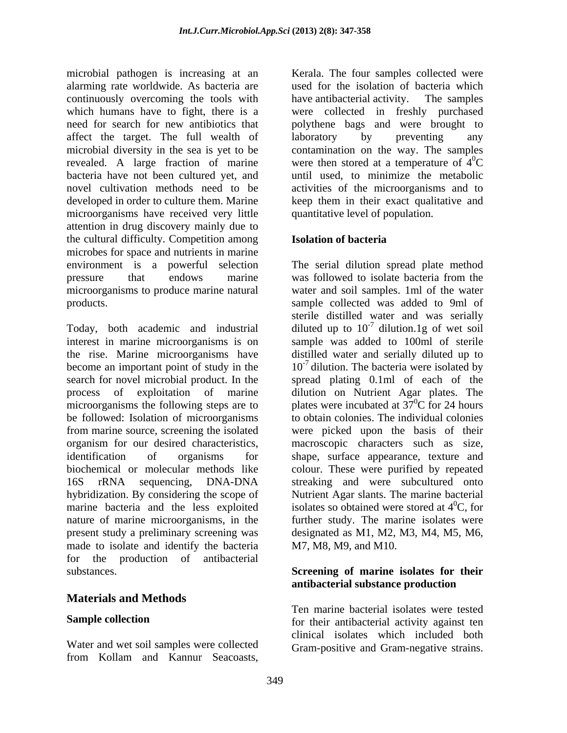microbial pathogen is increasing at an **Example Examples** collected were alarming rate worldwide. As bacteria are continuously overcoming the tools with have antibacterial activity. The samples which humans have to fight, there is a were collected in freshly purchased need for search for new antibiotics that polythene bags and were brought to affect the target. The full wealth of laboratory by preventing any microbial diversity in the sea is yet to be contamination on the way. The samples revealed. A large fraction of marine bacteria have not been cultured yet, and until used, to minimize the metabolic novel cultivation methods need to be activities of the microorganisms and to developed in order to culture them. Marine keep them in their exact qualitative and microorganisms have received very little attention in drug discovery mainly due to the cultural difficulty. Competition among **Isolation of bacteria** microbes for space and nutrients in marine environment is a powerful selection The serial dilution spread plate method pressure that endows marine was followed to isolate bacteria from the microorganisms to produce marine natural products. sample collected was added to 9ml of

interest in marine microorganisms is on sample was added to 100ml of sterile the rise. Marine microorganisms have become an important point of study in the  $10^{-7}$  dilution. The bacteria were isolated by search for novel microbial product. In the spread plating 0.1ml of each of the process of exploitation of marine dilution on Nutrient Agar plates. The microorganisms the following steps are to be followed: Isolation of microorganisms from marine source, screening the isolated were picked upon the basis of their organism for our desired characteristics, macroscopic characters such as size, identification of organisms for shape, surface appearance, texture and biochemical or molecular methods like colour. These were purified by repeated 16S rRNA sequencing, DNA-DNA streaking and were subcultured onto hybridization. By considering the scope of Nutrient Agar slants. The marine bacterial marine bacteria and the less exploited isolates so obtained were stored at  $4^{\circ}C$ , for nature of marine microorganisms, in the present study a preliminary screening was made to isolate and identify the bacteria for the production of antibacterial substances. **Screening of marine isolates for their**

# **Materials and Methods**

Water and wet soil samples were collected

used for the isolation of bacteria which have antibacterial activity. The samples laboratory by preventing any were then stored at a temperature of  $4^0C$  ${}^{0}C$ quantitative level of population.

### **Isolation of bacteria**

Today, both academic and industrial diluted up to  $10^{-7}$  dilution. 1 g of wet soil microvial pathogen is the cost of the seaconical and the material content were search and the material solution of hand the search and the material solution of the search and the material content of the collected were coll was followed to isolate bacteria from the water and soil samples. 1ml of the water sterile distilled water and was serially dilution.1g of wet soil distilled water and serially diluted up to plates were incubated at  $37^{\circ}$ C for 24 hours  ${}^{0}C$  for 24 hours to obtain colonies. The individual colonies  ${}^{0}C$ , for further study. The marine isolates were designated as M1, M2, M3, M4, M5, M6, M7, M8, M9, and M10.

# **antibacterial substance production**

**Sample collection** Ten marine bacterial isolates were tested clinical isolates which included both Gram-positive and Gram-negative strains.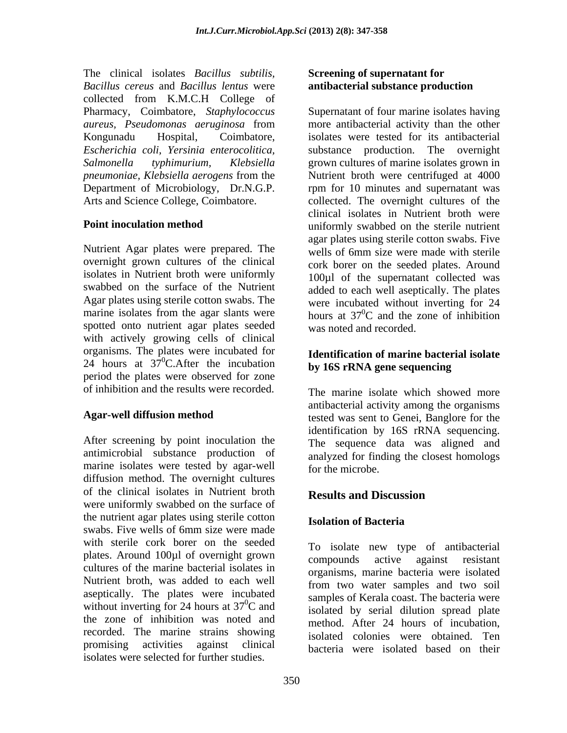The clinical isolates *Bacillus subtilis, Bacillus cereus* and *Bacillus lentus* were collected from K.M.C.H College of *Escherichia coli, Yersinia enterocolitica,*

Nutrient Agar plates were prepared. The wells of 6mm size were made with sterile overnight grown cultures of the clinical isolates in Nutrient broth were uniformly swabbed on the surface of the Nutrient spotted onto nutrient agar plates seeded with actively growing cells of clinical organisms. The plates were incubated for  $24$  hours at  $37^0$ C. After the incubation by  $16S$  rRNA gene sequencing period the plates were observed for zone

antimicrobial substance production of marine isolates were tested by agar-well diffusion method. The overnight cultures of the clinical isolates in Nutrient broth Results and Discussion were uniformly swabbed on the surface of the nutrient agar plates using sterile cotton swabs. Five wells of 6mm size were made with sterile cork borer on the seeded plates. Around 100µl of overnight grown cultures of the marine bacterial isolates in Nutrient broth, was added to each well aseptically. The plates were incubated without inverting for 24 hours at  $37^{\circ}$ C and the zone of inhibition was noted and recorded. The marine strains showing promising activities against clinical bacteria were isolated based on theirisolates were selected for further studies.

### **Screening of supernatant for antibacterial substance production**

Pharmacy, Coimbatore, *Staphylococcus*  Supernatant of four marine isolates having *aureus, Pseudomonas aeruginosa* from Kongunadu Hospital, Coimbatore, isolates were tested for its antibacterial *Salmonella typhimurium, Klebsiella* grown cultures of marine isolates grown in *pneumoniae, Klebsiella aerogens* from the Nutrient broth were centrifuged at 4000 Department of Microbiology, Dr.N.G.P. rpm for 10 minutes and supernatant was Arts and Science College, Coimbatore. collected. The overnight cultures of the **Point inoculation method** uniformly swabbed on the sterile nutrient Agar plates using sterile cotton swabs. The were incubated without inverting for 24 marine isolates from the agar slants were hours at  $37^{\circ}$ C and the zone of inhibition more antibacterial activity than the other substance production. The overnight clinical isolates in Nutrient broth were agar plates using sterile cotton swabs. Five wells of 6mm size were made with sterile cork borer on the seeded plates. Around 100µl of the supernatant collected was added to each well aseptically. The plates  ${}^{0}C$  and the zone of inhibition was noted and recorded.

### **Identification of marine bacterial isolate by 16S rRNA gene sequencing**

of inhibition and the results were recorded. The marine isolate which showed more Agar-well diffusion method tested was sent to Genei, Banglore for the After screening by point inoculation the identification by 16S rRNA sequencing.<br>The sequence data was aligned and antibacterial activity among the organisms identification by 16S rRNA sequencing. The sequence data was aligned and analyzed for finding the closest homologs for the microbe.

# **Results and Discussion**

# **Isolation of Bacteria**

<sup>0</sup>C and samples of Kerala coast. The bacteria were To isolate new type of antibacterial compounds active against resistant organisms, marine bacteria were isolated from two water samples and two soil samples of Kerala coast. The bacteria were isolated by serial dilution spread plate method. After 24 hours of incubation, isolated colonies were obtained. Ten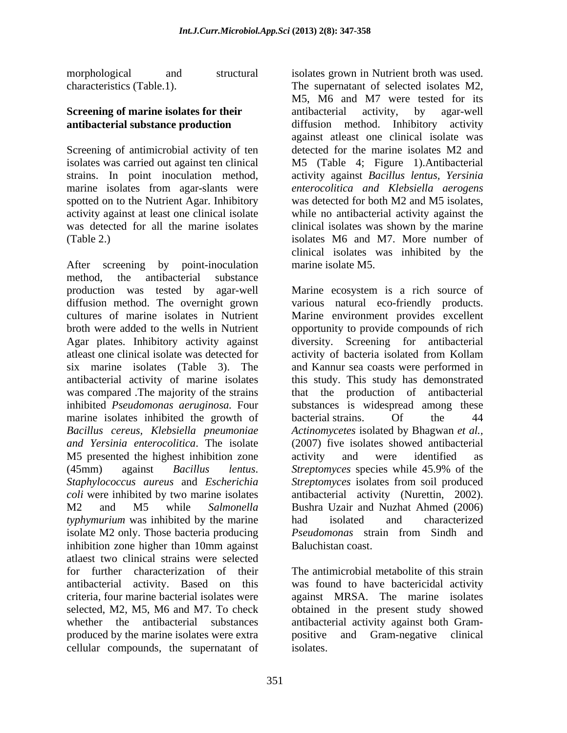Screening of antimicrobial activity of ten marine isolates from agar-slants were spotted on to the Nutrient Agar. Inhibitory

After screening by point-inoculation method, the antibacterial substance production was tested by agar-well diffusion method. The overnight grown various natural eco-friendly products. cultures of marine isolates in Nutrient Marine environment provides excellent broth were added to the wells in Nutrient opportunity to provide compounds of rich Agar plates. Inhibitory activity against diversity. Screening for antibacterial atleast one clinical isolate was detected for six marine isolates (Table 3). The and Kannur sea coasts were performed in antibacterial activity of marine isolates this study. This study has demonstrated was compared .The majority of the strains that the production of antibacterial inhibited *Pseudomonas aeruginosa.* Four marine isolates inhibited the growth of bacterial strains. Of the 44 *Bacillus cereus, Klebsiella pneumoniae Actinomycetes* isolated by Bhagwan *et al., and Yersinia enterocolitica*. The isolate (2007) five isolates showed antibacterial M5 presented the highest inhibition zone activity and were identified as (45mm) against *Bacillus lentus*. *Staphylococcus aureus* and *Escherichia Streptomyces* isolates from soil produced *coli* were inhibited by two marine isolates antibacterial activity (Nurettin, 2002). M2 and M5 while *Salmonella*  Bushra Uzair and Nuzhat Ahmed (2006) *typhymurium* was inhibited by the marine had isolated and characterized isolate M2 only. Those bacteria producing Pseudomonas strain from Sindh and inhibition zone higher than 10mm against atlaest two clinical strains were selected for further characterization of their The antimicrobial metabolite of this strain antibacterial activity. Based on this was found to have bactericidal activity criteria, four marine bacterial isolates were against MRSA. The marine isolates selected, M2, M5, M6 and M7. To check obtained in the present study showed whether the antibacterial substances antibacterial activity against both Gram produced by the marine isolates were extra cellular compounds, the supernatant of

morphological and structural isolates grown in Nutrient broth was used. characteristics (Table.1). The supernatant of selected isolates M2, **Screening of marine isolates for their** antibacterial activity, by agar-well **antibacterial substance production** diffusion method. Inhibitory activity isolates was carried out against ten clinical M5 (Table 4; Figure 1).Antibacterial strains. In point inoculation method, activity against *Bacillus lentus, Yersinia* activity against at least one clinical isolate while no antibacterial activity against the was detected for all the marine isolates clinical isolates was shown by the marine (Table 2.) isolates M6 and M7. More number of M5, M6 and M7 were tested for its antibacterial activity, by agar-well against atleast one clinical isolate was detected for the marine isolates M2 and *enterocolitica and Klebsiella aerogens* was detected for both M2 and M5 isolates, clinical isolates was inhibited by the marine isolate M5.

> Marine ecosystem is a rich source of activity of bacteria isolated from Kollam that the production of substances is widespread among these bacterial strains. Of the 44 activity and were identified as *Streptomyces* species while 45.9% of the had isolated and characterized *Pseudomonas* strain from Sindh and Baluchistan coast.

and Gram-negative clinical isolates.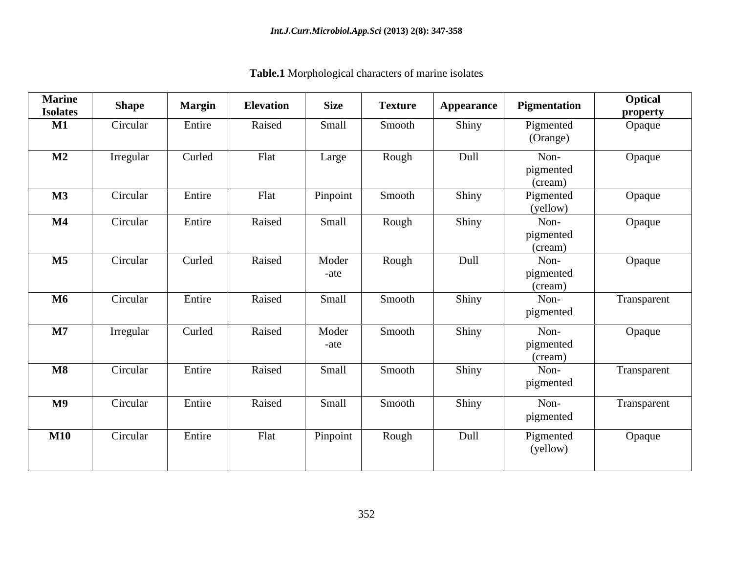| <b>Marine</b><br><b>Isolates</b> | <b>Shape</b> | <b>Margin</b> | <b>Elevation</b> | <b>Size</b>   | <b>Texture</b> | <b>Appearance</b> | Pigmentation                 | Optical<br>property |
|----------------------------------|--------------|---------------|------------------|---------------|----------------|-------------------|------------------------------|---------------------|
| $\mathbf{M1}$                    | Circular     | Entire        | Raised           | Small         | Smooth         | Shiny             | Pigmented<br>(Orange)        | Opaque              |
| $\mathbf{M2}$                    | Irregular    | Curled        | Flat             | Large         | Rough          | Dull              | Non-<br>pigmented<br>(cream) | Opaque              |
| $\mathbf{M}3$                    | Circular     | Entire        | Flat             | Pinpoint      | Smooth         | Shiny             | Pigmented<br>(yellow)        | Opaque              |
| $\mathbf{M}4$                    | Circular     | Entire        | Raised           | Small         | Rough          | Shiny             | Non-<br>pigmented<br>(cream) | Opaque              |
| $\mathbf{M5}$                    | Circular     | Curled        | Raised           | Moder<br>-ate | Rough          | Dull              | Non-<br>pigmented<br>(cream) | Opaque              |
| <b>M6</b>                        | Circular     | Entire        | Raised           | Small         | Smooth         | Shiny             | Non-<br>pigmented            | Transparent         |
| $\bf M7$                         | Irregular    | Curled        | Raised           | Moder<br>-ate | Smooth         | Shiny             | Non-<br>pigmented<br>(cream) | Opaque              |
| $\mathbf{M8}$                    | Circular     | Entire        | Raised           | Small         | Smooth         | Shiny             | Non-<br>pigmented            | Transparent         |
| M9                               | Circular     | Entire        | Raised           | Small         | Smooth         | Shiny             | Non-<br>pigmented            | Transparent         |
| <b>M10</b>                       | Circular     | Entire        | Flat             | Pinpoint      | Rough          | Dull              | Pigmented<br>(yellow)        | Opaque              |

**Table.1** Morphological characters of marine isolates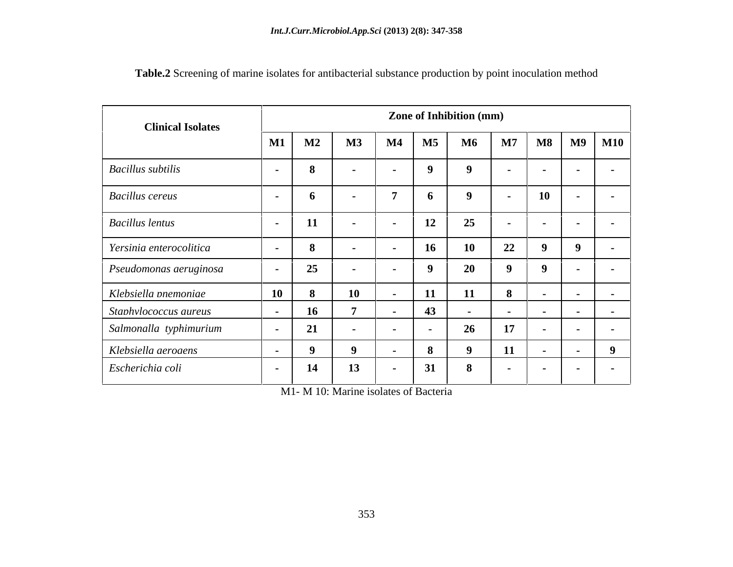| <b>Clinical Isolates</b> | <b>Zone of Inhibition (mm)</b> |               |                   |                  |                   |             |                   |                          |                   |                   |  |  |  |
|--------------------------|--------------------------------|---------------|-------------------|------------------|-------------------|-------------|-------------------|--------------------------|-------------------|-------------------|--|--|--|
|                          | $\mathbf{M1}$                  | $\mathbf{M2}$ | $\mathbf{M}3$     | $\mathbf{M}4$    | $\mathbf{M5}$     | <b>M6</b>   | $\mathbf{M7}$     | $\overline{\textbf{M8}}$ | <b>M9</b>         | <b>M10</b>        |  |  |  |
| <b>Bacillus</b> subtilis | $\sim$                         |               | $\sim$            | $\sim$           | 9                 | - 0         | $\sim$            | $\sim$                   | $\sim$ 100 $\sim$ | $\sim$ $\sim$     |  |  |  |
| <b>Bacillus cereus</b>   | $\sim$                         |               | $\sim$            |                  | 6                 | $\mathbf 0$ | $\sim$ 100 $\sim$ | 10                       | $\sim$            | $\sim 100$        |  |  |  |
| <b>Bacillus lentus</b>   | $\sim$                         | <b>11</b>     | $\sim$ 100 $\pm$  | $\sim$           | 12                | 25          | $\sim$ $-$        | $\sim$                   | $\sim$            | $\sim$ $\sim$     |  |  |  |
| Yersinia enterocolitica  | $\sim$                         |               |                   | $\sim$           | 16 <sup>1</sup>   | 10          | 22                |                          |                   |                   |  |  |  |
| Pseudomonas aeruginosa   | $\sim 100$                     | 25            | $\sim$ 100 $\sim$ | $\sim$ 100 $\mu$ | 9                 | 20          | 9                 |                          | $\sim$ 100 $\sim$ | $\sim$ 100 $\sim$ |  |  |  |
| Klebsiella pnemoniae     | <b>10</b>                      |               | 10                | . .              | 11                | 11          | - 0               |                          | $\sim$            | $\sim$ 100 $\sim$ |  |  |  |
| Staphylococcus aureus    |                                | 16            |                   |                  | 43                |             |                   |                          | $\sim$            | $\sim$ $\sim$     |  |  |  |
| Salmonalla typhimurium   | $\sim$                         | -41           |                   | $\sim$           | $\sim$ 100 $\sim$ | 26          | 17                |                          | $\sim$            | $\sim$ 100 $\sim$ |  |  |  |
| Klebsiella aerogens      | $\sim$                         |               |                   |                  | 8                 | - 0         | 11                |                          | $\sim 100$        |                   |  |  |  |
| Escherichia coli         | $\sim$ $-$                     | 14            | 13                | $\sim$           | 31                | 8           | $\sim$            | $\sim$                   | $\sim 100$        | $\sim$ $\sim$     |  |  |  |

**Table.2** Screening of marine isolates for antibacterial substance production by point inoculation method

M1- M 10: Marine isolates of Bacteria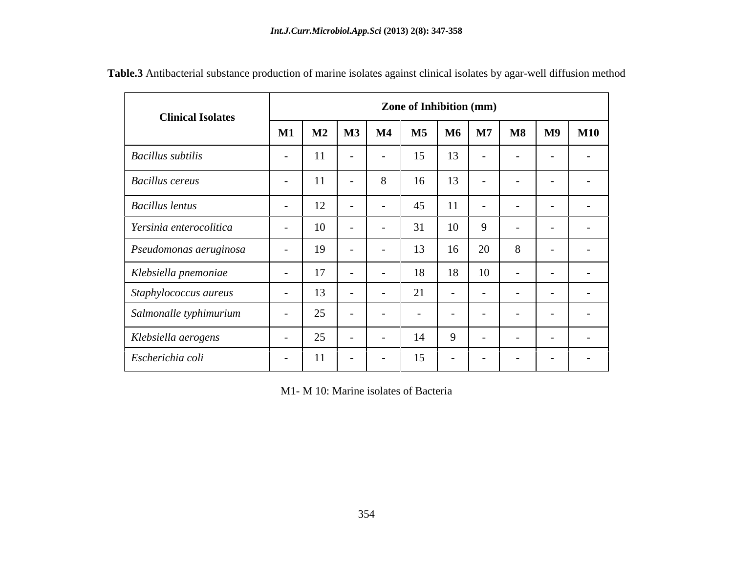| <b>Clinical Isolates</b> |                          |                |                          |               |               | <b>Zone of Inhibition (mm)</b> |                          |                          |                          |                          |
|--------------------------|--------------------------|----------------|--------------------------|---------------|---------------|--------------------------------|--------------------------|--------------------------|--------------------------|--------------------------|
|                          | $\mathbf{M1}$            | $M2$ $M3$      |                          | $\mathbf{M4}$ | $\mathbf{M5}$ | M6                             | $\mathbf{M7}$            | $\overline{\textbf{M8}}$ | <b>M9</b>                | <b>M10</b>               |
| Bacillus subtilis        |                          |                |                          |               | 15            | 13                             |                          | $\overline{\phantom{0}}$ | $\sim$                   |                          |
| <b>Bacillus cereus</b>   | $\overline{\phantom{0}}$ |                | $\overline{\phantom{0}}$ | 8             | 16            | 13                             | $\sim$ $-$               | $\sim$                   | $\sim$                   | $\overline{\phantom{0}}$ |
| <b>Bacillus lentus</b>   |                          | 12             |                          |               | 45            | 11                             | $\overline{\phantom{0}}$ | $\overline{\phantom{0}}$ | $\sim$                   |                          |
| Yersinia enterocolitica  |                          | 10             |                          |               | 31            | 10                             |                          | $\overline{\phantom{a}}$ | $\sim$                   |                          |
| Pseudomonas aeruginosa   |                          | 19             |                          |               | 13            | 16                             | 20                       | 8                        | $\sim$                   |                          |
| Klebsiella pnemoniae     |                          | 1 <sub>7</sub> |                          |               | 18            | 18                             | 10                       |                          | $\overline{\phantom{0}}$ |                          |
| Staphylococcus aureus    |                          | 1 <sub>2</sub> |                          |               | 21            | $\sim$                         | $\sim$                   | $\sim$                   | $\sim$                   |                          |
| Salmonalle typhimurium   |                          | 25             |                          |               |               | $\sim$                         | $\overline{\phantom{0}}$ | $\sim$                   |                          |                          |
| Klebsiella aerogens      |                          | 25             |                          | $\sim$        | 14            | 9                              | $\sim$                   | $\sim$                   | $\sim$ $-$               |                          |
| Escherichia coli         |                          | 11             |                          |               | 15            | $\sim$                         | $\overline{\phantom{0}}$ | $\overline{\phantom{a}}$ |                          |                          |

**Table.3** Antibacterial substance production of marine isolates against clinical isolates by agar-well diffusion method

M1- M 10: Marine isolates of Bacteria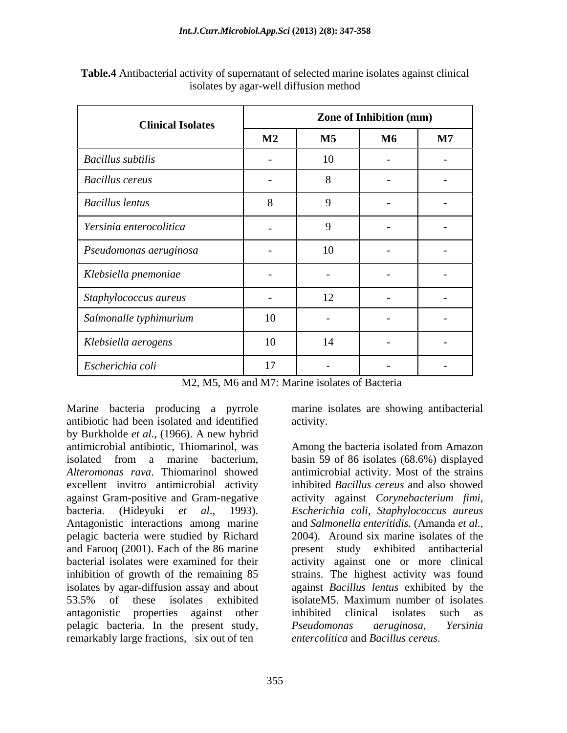| <b>Clinical Isolates</b>       |                          |                          | <b>Zone of Inhibition (mm)</b> |                          |
|--------------------------------|--------------------------|--------------------------|--------------------------------|--------------------------|
|                                | $\mathbf{M2}$            | $\mathbf{M5}$            | <b>M6</b>                      | $\mathbf{M7}$            |
| <b>Bacillus</b> subtilis       |                          | 10                       |                                | $\sim$                   |
| <b>Bacillus cereus</b>         | $\sim$                   | 8                        | $\overline{\phantom{0}}$       | $\overline{\phantom{0}}$ |
| <b>Bacillus lentus</b>         |                          | -9                       |                                |                          |
| Yersinia enterocolitica        | $\overline{\phantom{0}}$ | 9                        | $\overline{\phantom{0}}$       | $\overline{\phantom{0}}$ |
| $\vert$ Pseudomonas aeruginosa | $\overline{\phantom{0}}$ | 10                       | $\overline{\phantom{0}}$       | $\overline{\phantom{0}}$ |
| Klebsiella pnemoniae           | $\overline{\phantom{0}}$ | $\sim$                   | $\overline{\phantom{0}}$       | $\overline{\phantom{0}}$ |
| Staphylococcus aureus          | $\overline{\phantom{0}}$ | 12                       |                                | $\sim$                   |
| Salmonalle typhimurium         | 10                       | $\overline{\phantom{0}}$ | $\overline{\phantom{a}}$       | $\sim$                   |
| Klebsiella aerogens            | 10                       | 14                       |                                |                          |
| Escherichia coli               | 17                       | $\sim$                   | $\overline{\phantom{0}}$       | $\sim$ $-$               |

| Table.4 Antibacterial activity of supernatant of selected marine isolates against clinical |  |  |
|--------------------------------------------------------------------------------------------|--|--|
| isolates by agar-well diffusion method                                                     |  |  |

M2, M5, M6 and M7: Marine isolates of Bacteria

Marine bacteria producing a pyrrole marine isolates are showing antibacterial antibiotic had been isolated and identified by Burkholde *et al.*, (1966). A new hybrid antimicrobial antibiotic, Thiomarinol, was isolated from a marine bacterium, basin 59 of 86 isolates (68.6%) displayed *Alteromonas rava*. Thiomarinol showed antimicrobial activity. Most of the strains excellent invitro antimicrobial activity against Gram-positive and Gram-negative activity against *Corynebacterium fimi,* bacteria. (Hideyuki *et al*., 1993). *Escherichia coli, Staphylococcus aureus* Antagonistic interactions among marine and Salmonella enteritidis. (Amanda et al., pelagic bacteria were studied by Richard and Farooq (2001). Each of the 86 marine present study exhibited antibacterial bacterial isolates were examined for their activity against one or more clinical inhibition of growth of the remaining 85 strains. The highest activity was found isolates by agar-diffusion assay and about 53.5% of these isolates exhibited isolateM5. Maximum number of isolates antagonistic properties against other pelagic bacteria. In the present study, *Pseudomonas aeruginosa*, Yersinia remarkably large fractions, six out of ten

activity.

Among the bacteria isolated from Amazon inhibited *Bacillus cereus* and also showed and *Salmonella enteritidis.* (Amanda *et al.*, 2004). Around six marine isolates of the against *Bacillus lentus* exhibited by the isolateM5. Maximum number of isolates inhibited clinical isolates such as *Pseudomonas aeruginosa*, *Yersinia entercolitica* and *Bacillus cereus*.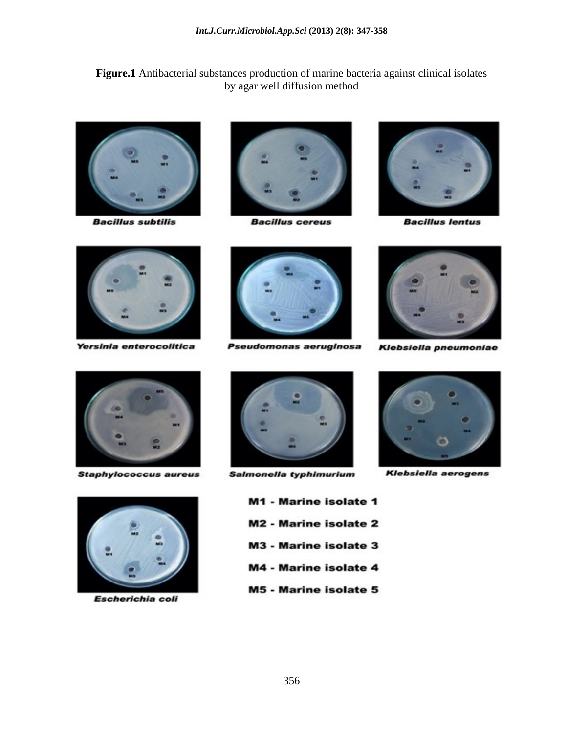**Figure.1** Antibacterial substances production of marine bacteria against clinical isolates by agar well diffusion method



**Bacillus subtilis** 



**Bacillus cereus** 



**Bacillus lentus** 



Yersinia enterocolitica



**Staphylococcus aureus** 



Escherichia coli



Pseudomonas aeruginosa



Salmonella typhimurium

- M1 Marine isolate 1 **M2 - Marine isolate 2 M3 - Marine isolate 3 M4 - Marine isolate 4**
- **M5 Marine isolate 5**



Klebsiella pneumoniae

**Klebsiella aerogens**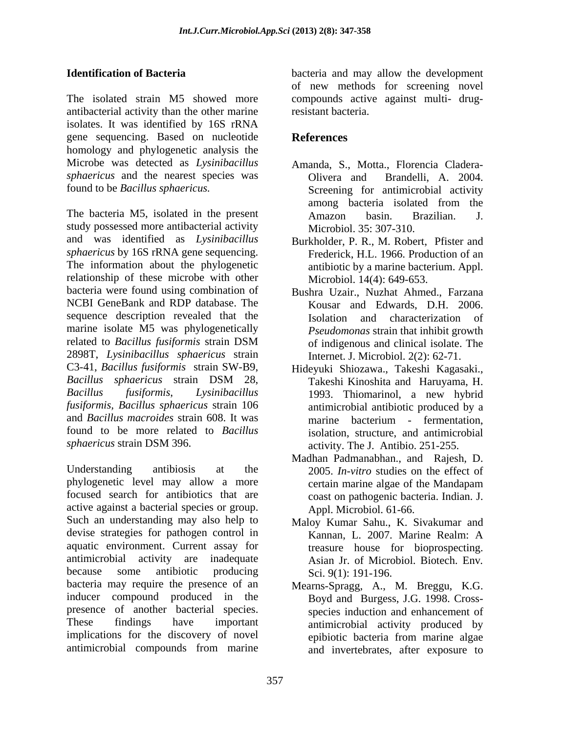The isolated strain M5 showed more compounds active against multi- drugantibacterial activity than the other marine isolates. It was identified by 16S rRNA gene sequencing. Based on nucleotide homology and phylogenetic analysis the Microbe was detected as *Lysinibacillus sphaericus* and the nearest species was **Olivera** and Brandelli, A. 2004.

The bacteria M5, isolated in the present  $\overline{A}$  Amazon basin. Brazilian. J. study possessed more antibacterial activity and was identified as *Lysinibacillus sphaericus* by 16S rRNA gene sequencing. Frederick, H.L. 1966. Production of an<br>The information about the phylogenetic antibiotic by a marine bacterium. Appl. relationship of these microbe with other bacteria were found using combination of Bushra Uzair., Nuzhat Ahmed., Farzana NCBI GeneBank and RDP database. The sequence description revealed that the marine isolate M5 was phylogenetically<br>related to *Bacillus fusiformis* strain DSM related to *Bacillus fusiformis* strain DSM 2898T, *Lysinibacillus sphaericus* strain C3-41, *Bacillus fusiformis* strain SW-B9, Hideyuki Shiozawa., Takeshi Kagasaki., *Bacillus sphaericus* strain DSM 28, *Bacillus fusiformis*, *Lysinibacillus*  1993. Thiomarinol, a new hybrid *fusiformis, Bacillus sphaericus* strain 106 and *Bacillus macroides* strain 608. It was found to be more related to *Bacillus* 

Understanding antibiosis at the 2005. *In-vitro* studies on the effect of phylogenetic level may allow a more focused search for antibiotics that are active against a bacterial species or group. Such an understanding may also help to Maloy Kumar Sahu., K. Sivakumar and devise strategies for pathogen control in Kannan, L. 2007. Marine Realm: A aquatic environment. Current assay for antimicrobial activity are inadequate Asian Jr. of Microbiol. Biotech. Env*.* because some antibiotic producing Sci. 9(1): 191-196. bacteria may require the presence of an Mearns-Spragg, A., M. Breggu, K.G. inducer compound produced in the presence of another bacterial species. species induction and enhancement of These findings have important antimicrobial activity produced by implications for the discovery of novel epibiotic bacteria from marine algae

**Identification of Bacteria** bacteria and may allow the development of new methods for screening novel resistant bacteria.

# **References**

- found to be *Bacillus sphaericus.* Screening for antimicrobial activity Amanda, S., Motta., Florencia Cladera- Olivera and Brandelli, A. 2004. among bacteria isolated from the Amazon basin. Brazilian. J. Microbiol. 35: 307-310.
	- Burkholder, P. R., M. Robert, Pfister and Frederick, H.L. 1966. Production of an antibiotic by a marine bacterium. Appl. Microbiol. 14(4): 649-653.
	- Kousar and Edwards, D.H. 2006. Isolation and characterization of *Pseudomonas* strain that inhibit growth of indigenous and clinical isolate. The Internet. J. Microbiol. 2(2): 62-71.
- *sphaericus* strain DSM 396. activity. The J. Antibio. 251-255. Takeshi Kinoshita and Haruyama, H. antimicrobial antibiotic produced by a marine bacterium - fermentation, isolation, structure, and antimicrobial
	- Madhan Padmanabhan., and Rajesh, D. certain marine algae of the Mandapam coast on pathogenic bacteria. Indian. J. Appl. Microbiol. 61-66.
	- Kannan, L. 2007. Marine Realm: A treasure house for bioprospecting. Sci. 9(1): 191-196.
- antimicrobial compounds from marine Boyd and Burgess, J.G. 1998. Cross epibiotic bacteria from marine algae and invertebrates, after exposure to